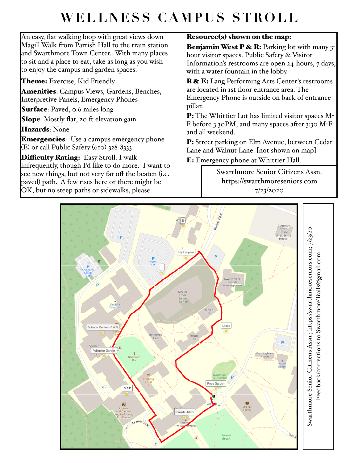## **WELLNESS CAMPUS STROLL**

An easy, flat walking loop with great views down Magill Walk from Parrish Hall to the train station and Swarthmore Town Center. With many places to sit and a place to eat, take as long as you wish to enjoy the campus and garden spaces.

Theme: Exercise, Kid Friendly

**Amenities**: Campus Views, Gardens, Benches, Interpretive Panels, Emergency Phones

Surface: Paved, 0.6 miles long

Slope: Mostly flat, 20 ft elevation gain

Hazards: None

**Emergencies**: Use a campus emergency phone (E) or call Public Safety (610) 328-8333

Difficulty Rating: Easy Stroll. I walk infrequently, though I'd like to do more. I want to see new things, but not very far off the beaten (i.e. paved) path. A few rises here or there might be OK, but no steep paths or sidewalks, please.

## Resource(s) shown on the map:

**Benjamin West P & R:** Parking lot with many  $3$ hour visitor spaces. Public Safety & Visitor Information's restrooms are open 24-hours, 7 days, with a water fountain in the lobby.

R & E: Lang Performing Arts Center's restrooms are located in 1st floor entrance area. The Emergency Phone is outside on back of entrance pillar.

P: The Whittier Lot has limited visitor spaces M-F before 3:30PM, and many spaces after 3:30 M-F and all weekend.

P: Street parking on Elm Avenue, between Cedar Lane and Walnut Lane. [not shown on map]

E: Emergency phone at Whittier Hall.

Swarthmore Senior Citizens Assn. https://swarthmoreseniors.com 7/23/2020